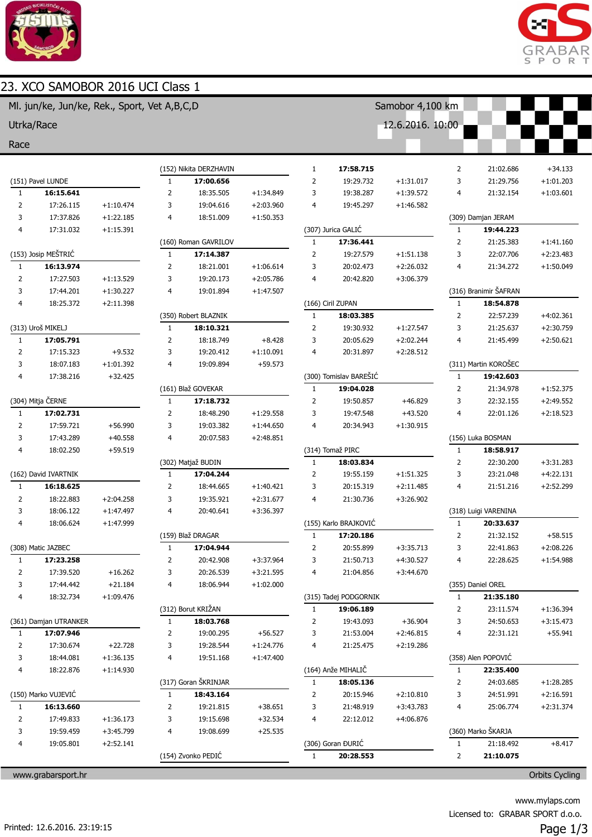

# 23. XCO SAMOBOR 2016 UCI Class 1





| Ml. jun/ke, Jun/ke, Rek., Sport, Vet A,B,C,D |                        |                         |                |                        | Samobor 4,100 km         |                |                        |             |                |                       |             |
|----------------------------------------------|------------------------|-------------------------|----------------|------------------------|--------------------------|----------------|------------------------|-------------|----------------|-----------------------|-------------|
| Utrka/Race                                   |                        |                         |                |                        |                          |                | 12.6.2016. 10:00       |             |                |                       |             |
| Race                                         |                        |                         |                |                        |                          |                |                        |             |                |                       |             |
|                                              |                        |                         |                |                        |                          |                |                        |             |                |                       |             |
|                                              |                        |                         |                | (152) Nikita DERZHAVIN |                          | 1              | 17:58.715              |             | 2              | 21:02.686             | $+34.133$   |
|                                              | (151) Pavel LUNDE      |                         | $\mathbf{1}$   | 17:00.656              |                          | $\overline{2}$ | 19:29.732              | $+1:31.017$ | 3              | 21:29.756             | $+1:01.203$ |
| 1                                            | 16:15.641              |                         | $\overline{2}$ | 18:35.505              | $+1:34.849$              | 3              | 19:38.287              | $+1:39.572$ | 4              | 21:32.154             | $+1:03.601$ |
| $\overline{2}$                               | 17:26.115              | $+1:10.474$             | 3              | 19:04.616              | $+2:03.960$              | 4              | 19:45.297              | $+1:46.582$ |                |                       |             |
| 3                                            | 17:37.826              | $+1:22.185$             | 4              | 18:51.009              | $+1:50.353$              |                |                        |             |                | (309) Damjan JERAM    |             |
| 4                                            | 17:31.032              | $+1:15.391$             |                |                        |                          |                | (307) Jurica GALIĆ     |             | $1\,$          | 19:44.223             |             |
|                                              |                        |                         |                | (160) Roman GAVRILOV   |                          | $1\,$          | 17:36.441              |             | $\overline{2}$ | 21:25.383             | $+1:41.160$ |
|                                              | (153) Josip MEŠTRIĆ    |                         | $\mathbf{1}$   | 17:14.387              |                          | $\overline{2}$ | 19:27.579              | $+1:51.138$ | 3              | 22:07.706             | $+2:23.483$ |
| 1                                            | 16:13.974              |                         | $\overline{2}$ | 18:21.001              | $+1:06.614$              | 3              | 20:02.473              | $+2:26.032$ | 4              | 21:34.272             | $+1:50.049$ |
| $\overline{2}$                               | 17:27.503              | $+1:13.529$             | 3              | 19:20.173              | $+2:05.786$              | 4              | 20:42.820              | $+3:06.379$ |                |                       |             |
| 3                                            | 17:44.201              | $+1:30.227$             | 4              | 19:01.894              | $+1:47.507$              |                |                        |             |                | (316) Branimir ŠAFRAN |             |
| 4                                            | 18:25.372              | $+2:11.398$             |                |                        |                          |                | (166) Ciril ZUPAN      |             | $\mathbf{1}$   | 18:54.878             |             |
|                                              |                        |                         |                | (350) Robert BLAZNIK   |                          | $\mathbf{1}$   | 18:03.385              |             | $\overline{2}$ | 22:57.239             | $+4:02.361$ |
|                                              | (313) Uroš MIKELJ      |                         | $\mathbf{1}$   | 18:10.321              |                          | $\overline{2}$ | 19:30.932              | $+1:27.547$ | 3              | 21:25.637             | $+2:30.759$ |
| $\mathbf{1}$                                 | 17:05.791              |                         | $\overline{2}$ | 18:18.749              | $+8.428$                 | 3<br>4         | 20:05.629              | $+2:02.244$ | 4              | 21:45.499             | $+2:50.621$ |
| 2<br>3                                       | 17:15.323<br>18:07.183 | $+9.532$<br>$+1:01.392$ | 3<br>4         | 19:20.412<br>19:09.894 | $+1:10.091$<br>$+59.573$ |                | 20:31.897              | $+2:28.512$ |                | (311) Martin KOROŠEC  |             |
| 4                                            | 17:38.216              | $+32.425$               |                |                        |                          |                | (300) Tomislav BAREŠIĆ |             | $\mathbf{1}$   | 19:42.603             |             |
|                                              |                        |                         |                | (161) Blaž GOVEKAR     |                          | 1              | 19:04.028              |             | 2              | 21:34.978             | $+1:52.375$ |
|                                              | (304) Mitja ČERNE      |                         | 1              | 17:18.732              |                          | $\overline{2}$ | 19:50.857              | $+46.829$   | 3              | 22:32.155             | $+2:49.552$ |
| $\mathbf{1}$                                 | 17:02.731              |                         | 2              | 18:48.290              | $+1:29.558$              | 3              | 19:47.548              | $+43.520$   | 4              | 22:01.126             | $+2:18.523$ |
| 2                                            | 17:59.721              | $+56.990$               | 3              | 19:03.382              | $+1:44.650$              | 4              | 20:34.943              | $+1:30.915$ |                |                       |             |
| 3                                            | 17:43.289              | $+40.558$               | 4              | 20:07.583              | $+2:48.851$              |                |                        |             |                | (156) Luka BOSMAN     |             |
| 4                                            | 18:02.250              | $+59.519$               |                |                        |                          |                | (314) Tomaž PIRC       |             | $1\,$          | 18:58.917             |             |
|                                              |                        |                         |                | (302) Matjaž BUDIN     |                          | $\mathbf{1}$   | 18:03.834              |             | $\overline{2}$ | 22:30.200             | $+3:31.283$ |
| (162) David IVARTNIK                         |                        |                         | 1              | 17:04.244              |                          | $\overline{2}$ | 19:55.159              | $+1:51.325$ | 3              | 23:21.048             | $+4:22.131$ |
| 1                                            | 16:18.625              |                         | 2              | 18:44.665              | $+1:40.421$              | 3              | 20:15.319              | $+2:11.485$ | 4              | 21:51.216             | $+2:52.299$ |
| $\overline{2}$                               | 18:22.883              | $+2:04.258$             | 3              | 19:35.921              | $+2:31.677$              | 4              | 21:30.736              | $+3:26.902$ |                |                       |             |
| 3                                            | 18:06.122              | $+1:47.497$             | 4              | 20:40.641              | $+3:36.397$              |                |                        |             |                | (318) Luigi VARENINA  |             |
| 4                                            | 18:06.624              | $+1:47.999$             |                |                        |                          |                | (155) Karlo BRAJKOVIĆ  |             | 1              | 20:33.637             |             |
|                                              |                        |                         |                | (159) Blaž DRAGAR      |                          | $\mathbf{1}$   | 17:20.186              |             | 2              | 21:32.152             | $+58.515$   |
|                                              | (308) Matic JAZBEC     |                         | $\mathbf{1}$   | 17:04.944              |                          | 2              | 20:55.899              | $+3:35.713$ | 3              | 22:41.863             | $+2:08.226$ |
| 1                                            | 17:23.258              |                         | $\overline{2}$ | 20:42.908              | $+3:37.964$              | 3              | 21:50.713              | $+4:30.527$ | 4              | 22:28.625             | $+1:54.988$ |
| 2                                            | 17:39.520              | $+16.262$               | 3              | 20:26.539              | $+3:21.595$              | 4              | 21:04.856              | $+3:44.670$ |                |                       |             |
| 3                                            | 17:44.442              | $+21.184$               | 4              | 18:06.944              | $+1:02.000$              |                |                        |             |                | (355) Daniel OREL     |             |
| 4                                            | 18:32.734              | $+1:09.476$             |                |                        |                          |                | (315) Tadej PODGORNIK  |             | $\mathbf{1}$   | 21:35.180             |             |
|                                              |                        |                         |                | (312) Borut KRIŽAN     |                          | 1              | 19:06.189              |             | 2              | 23:11.574             | $+1:36.394$ |
|                                              | (361) Damjan UTRANKER  |                         | $\mathbf{1}$   | 18:03.768              |                          | 2              | 19:43.093              | $+36.904$   | 3              | 24:50.653             | $+3:15.473$ |
| 1                                            | 17:07.946              |                         | 2              | 19:00.295              | $+56.527$                | 3              | 21:53.004              | $+2:46.815$ | 4              | 22:31.121             | $+55.941$   |
| 2                                            | 17:30.674              | $+22.728$               | 3              | 19:28.544              | $+1:24.776$              | 4              | 21:25.475              | $+2:19.286$ |                |                       |             |
| 3                                            | 18:44.081              | $+1:36.135$             | 4              | 19:51.168              | $+1:47.400$              |                |                        |             |                | (358) Alen POPOVIĆ    |             |
| 4                                            | 18:22.876              | $+1:14.930$             |                |                        |                          |                | (164) Anže MIHALIČ     |             | $\mathbf{1}$   | 22:35.400             |             |
|                                              |                        |                         |                | (317) Goran ŠKRINJAR   |                          | $\mathbf{1}$   | 18:05.136              |             | 2              | 24:03.685             | $+1:28.285$ |
| (150) Marko VUJEVIĆ                          |                        |                         | 1              | 18:43.164              |                          | $\overline{2}$ | 20:15.946              | $+2:10.810$ | 3              | 24:51.991             | $+2:16.591$ |
| $\mathbf{1}$                                 | 16:13.660              |                         | 2              | 19:21.815              | $+38.651$                | 3              | 21:48.919              | $+3:43.783$ | 4              | 25:06.774             | $+2:31.374$ |
| 2                                            | 17:49.833              | $+1:36.173$             | 3              | 19:15.698              | $+32.534$                | 4              | 22:12.012              | $+4:06.876$ |                |                       |             |
| 3                                            | 19:59.459              | $+3:45.799$             | 4              | 19:08.699              | $+25.535$                |                |                        |             |                | (360) Marko ŠKARJA    |             |
| 4                                            | 19:05.801              | $+2:52.141$             |                |                        |                          |                | (306) Goran ĐURIĆ      |             | $\mathbf{1}$   | 21:18.492             | $+8.417$    |
|                                              |                        |                         |                | (154) Zvonko PEDIĆ     |                          | $\mathbf{1}$   | 20:28.553              |             | $\overline{2}$ | 21:10.075             |             |

www.grabarsport.hr Orbits Cycling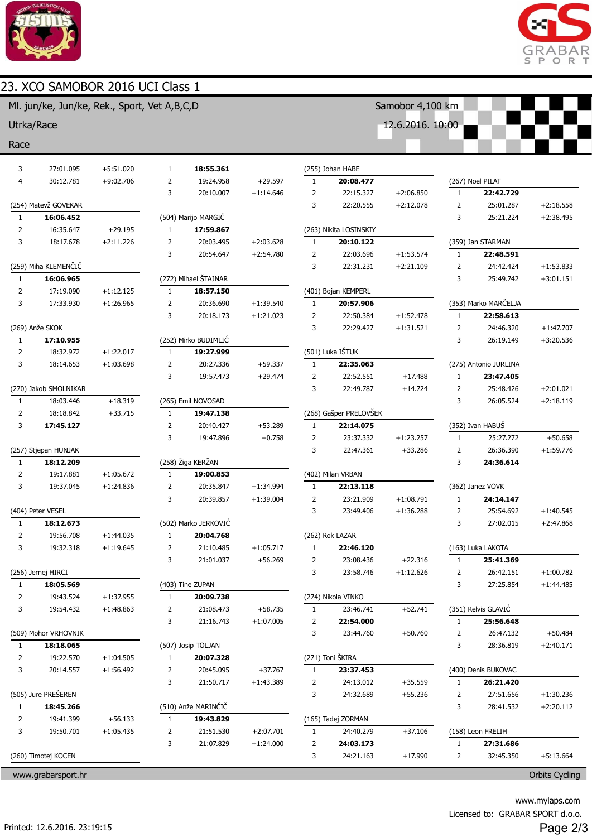

## 23. XCO SAMOBOR 2016 UCI Class 1



|                | Ml. jun/ke, Jun/ke, Rek., Sport, Vet A,B,C,D |             |                |                      |             |                |                        | Samobor 4,100 km |                |                       |             |
|----------------|----------------------------------------------|-------------|----------------|----------------------|-------------|----------------|------------------------|------------------|----------------|-----------------------|-------------|
| Utrka/Race     |                                              |             |                |                      |             |                |                        | 12.6.2016. 10:00 |                |                       |             |
| Race           |                                              |             |                |                      |             |                |                        |                  |                |                       |             |
| 3              | 27:01.095                                    | $+5:51.020$ | 1              | 18:55.361            |             |                | (255) Johan HABE       |                  |                |                       |             |
| 4              | 30:12.781                                    | $+9:02.706$ | $\overline{2}$ | 19:24.958            | $+29.597$   | $\mathbf{1}$   | 20:08.477              |                  |                | (267) Noel PILAT      |             |
|                |                                              |             | 3              | 20:10.007            | $+1:14.646$ | $\overline{2}$ | 22:15.327              | $+2:06.850$      | $\mathbf{1}$   | 22:42.729             |             |
|                | (254) Matevž GOVEKAR                         |             |                |                      |             | 3              | 22:20.555              | $+2:12.078$      | $\overline{2}$ | 25:01.287             | $+2:18.558$ |
| $\mathbf{1}$   | 16:06.452                                    |             |                | (504) Marijo MARGIĆ  |             |                |                        |                  | 3              | 25:21.224             | $+2:38.495$ |
| $\overline{2}$ | 16:35.647                                    | $+29.195$   | $\mathbf{1}$   | 17:59.867            |             |                | (263) Nikita LOSINSKIY |                  |                |                       |             |
| 3              | 18:17.678                                    | $+2:11.226$ | 2              | 20:03.495            | $+2:03.628$ | $\mathbf{1}$   | 20:10.122              |                  |                | (359) Jan STARMAN     |             |
|                |                                              |             | 3              | 20:54.647            | $+2:54.780$ | $\overline{2}$ | 22:03.696              | $+1:53.574$      | $\mathbf{1}$   | 22:48.591             |             |
|                | (259) Miha KLEMENČIČ                         |             |                |                      |             | 3              | 22:31.231              | $+2:21.109$      | $\overline{2}$ | 24:42.424             | $+1:53.833$ |
| $\mathbf{1}$   | 16:06.965                                    |             |                | (272) Mihael ŠTAJNAR |             |                |                        |                  | 3              | 25:49.742             | $+3:01.151$ |
| $\overline{2}$ | 17:19.090                                    | $+1:12.125$ | $\mathbf{1}$   | 18:57.150            |             |                | (401) Bojan KEMPERL    |                  |                |                       |             |
| 3              | 17:33.930                                    | $+1:26.965$ | $\overline{2}$ | 20:36.690            | $+1:39.540$ | $\mathbf{1}$   | 20:57.906              |                  |                | (353) Marko MARČELJA  |             |
|                |                                              |             | 3              | 20:18.173            | $+1:21.023$ | 2              | 22:50.384              | $+1:52.478$      | $\mathbf{1}$   | 22:58.613             |             |
|                | (269) Anže SKOK                              |             |                |                      |             | 3              | 22:29.427              | $+1:31.521$      | $\overline{2}$ | 24:46.320             | $+1:47.707$ |
| $\mathbf{1}$   | 17:10.955                                    |             |                | (252) Mirko BUDIMLIĆ |             |                |                        |                  | 3              | 26:19.149             | $+3:20.536$ |
| $\overline{2}$ | 18:32.972                                    | $+1:22.017$ | $\mathbf{1}$   | 19:27.999            |             |                | (501) Luka IŠTUK       |                  |                |                       |             |
| 3              | 18:14.653                                    | $+1:03.698$ |                | 20:27.336            | $+59.337$   | $\mathbf{1}$   | 22:35.063              |                  |                | (275) Antonio JURLINA |             |
|                |                                              |             | 3              | 19:57.473            | $+29.474$   | 2              | 22:52.551              | $+17.488$        | 1              | 23:47.405             |             |
|                | (270) Jakob SMOLNIKAR                        |             |                |                      |             | 3              | 22:49.787              | $+14.724$        | $\overline{2}$ | 25:48.426             | $+2:01.021$ |
| $\mathbf{1}$   | 18:03.446                                    | $+18.319$   |                | (265) Emil NOVOSAD   |             |                |                        |                  | 3              | 26:05.524             | $+2:18.119$ |
| $\overline{2}$ | 18:18.842                                    | $+33.715$   | $\mathbf{1}$   | 19:47.138            |             |                | (268) Gašper PRELOVŠEK |                  |                |                       |             |
| 3              | 17:45.127                                    |             | $\overline{2}$ | 20:40.427            | $+53.289$   | $\mathbf{1}$   | 22:14.075              |                  |                | (352) Ivan HABUŠ      |             |
|                |                                              |             | 3              | 19:47.896            | $+0.758$    | 2              | 23:37.332              | $+1:23.257$      | $\mathbf{1}$   | 25:27.272             | $+50.658$   |
|                | (257) Stjepan HUNJAK                         |             |                |                      |             | 3              | 22:47.361              | $+33.286$        | $\overline{2}$ | 26:36.390             | $+1:59.776$ |
| $\mathbf{1}$   | 18:12.209                                    |             |                | (258) Žiga KERŽAN    |             |                |                        |                  | 3              | 24:36.614             |             |
| $\overline{2}$ | 19:17.881                                    | $+1:05.672$ | 1              | 19:00.853            |             |                | (402) Milan VRBAN      |                  |                |                       |             |
| 3              | 19:37.045                                    | $+1:24.836$ | $\overline{2}$ | 20:35.847            | $+1:34.994$ | $\mathbf{1}$   | 22:13.118              |                  |                | (362) Janez VOVK      |             |
|                |                                              |             | 3              | 20:39.857            | $+1:39.004$ | $\overline{2}$ | 23:21.909              | $+1:08.791$      | $\mathbf{1}$   | 24:14.147             |             |
|                | (404) Peter VESEL                            |             |                |                      |             | 3              | 23:49.406              | $+1:36.288$      | $\overline{2}$ | 25:54.692             | $+1:40.545$ |
| $\mathbf{1}$   | 18:12.673                                    |             |                | (502) Marko JERKOVIĆ |             |                |                        |                  | 3              | 27:02.015             | $+2:47.868$ |
| 2              | 19:56.708                                    | $+1:44.035$ |                | 20:04.768            |             |                | (262) Rok LAZAR        |                  |                |                       |             |
| 3              | 19:32.318                                    | $+1:19.645$ | 2              | 21:10.485            | $+1:05.717$ | 1              | 22:46.120              |                  |                | (163) Luka LAKOTA     |             |
|                |                                              |             | 3              | 21:01.037            | $+56.269$   | 2              | 23:08.436              | $+22.316$        | 1              | 25:41.369             |             |
|                | (256) Jernej HIRCI                           |             |                |                      |             | 3              | 23:58.746              | $+1:12.626$      | 2              | 26:42.151             | $+1:00.782$ |
| $\mathbf{1}$   | 18:05.569                                    |             |                | (403) Tine ZUPAN     |             |                |                        |                  | 3              | 27:25.854             | $+1:44.485$ |
| 2              | 19:43.524                                    | $+1:37.955$ | 1              | 20:09.738            |             |                | (274) Nikola VINKO     |                  |                |                       |             |
| 3              | 19:54.432                                    | $+1:48.863$ | 2              | 21:08.473            | $+58.735$   | 1              | 23:46.741              | $+52.741$        |                | (351) Relvis GLAVIĆ   |             |
|                |                                              |             | 3              | 21:16.743            | $+1:07.005$ | 2              | 22:54.000              |                  | $\mathbf{1}$   | 25:56.648             |             |
|                | (509) Mohor VRHOVNIK                         |             |                |                      |             | 3              | 23:44.760              | $+50.760$        | 2              | 26:47.132             | $+50.484$   |
| $\mathbf{1}$   | 18:18.065                                    |             |                | (507) Josip TOLJAN   |             |                |                        |                  | 3              | 28:36.819             | $+2:40.171$ |
| 2              | 19:22.570                                    | $+1:04.505$ | 1              | 20:07.328            |             |                | (271) Toni ŠKIRA       |                  |                |                       |             |
| 3              | 20:14.557                                    | $+1:56.492$ | 2              | 20:45.095            | $+37.767$   | $\mathbf{1}$   | 23:37.453              |                  |                | (400) Denis BUKOVAC   |             |
|                |                                              |             | 3              | 21:50.717            | $+1:43.389$ | 2              | 24:13.012              | $+35.559$        | $\mathbf{1}$   | 26:21.420             |             |
|                | (505) Jure PREŠEREN                          |             |                |                      |             | 3              | 24:32.689              | $+55.236$        | 2              | 27:51.656             | $+1:30.236$ |
| $\mathbf{1}$   | 18:45.266                                    |             |                | (510) Anže MARINČIČ  |             |                |                        |                  | 3              | 28:41.532             | $+2:20.112$ |
| $\mathbf{2}$   | 19:41.399                                    | $+56.133$   | 1              | 19:43.829            |             |                | (165) Tadej ZORMAN     |                  |                |                       |             |
| 3              | 19:50.701                                    | $+1:05.435$ | 2              | 21:51.530            | $+2:07.701$ | 1              | 24:40.279              | $+37.106$        |                | (158) Leon FRELIH     |             |
|                |                                              |             | 3              | 21:07.829            | $+1:24.000$ | 2              | 24:03.173              |                  | 1              | 27:31.686             |             |
|                | (260) Timotej KOCEN                          |             |                |                      |             | 3              | 24:21.163              | $+17.990$        | 2              | 32:45.350             | $+5:13.664$ |

www.grabarsport.hr Orbits Cycling